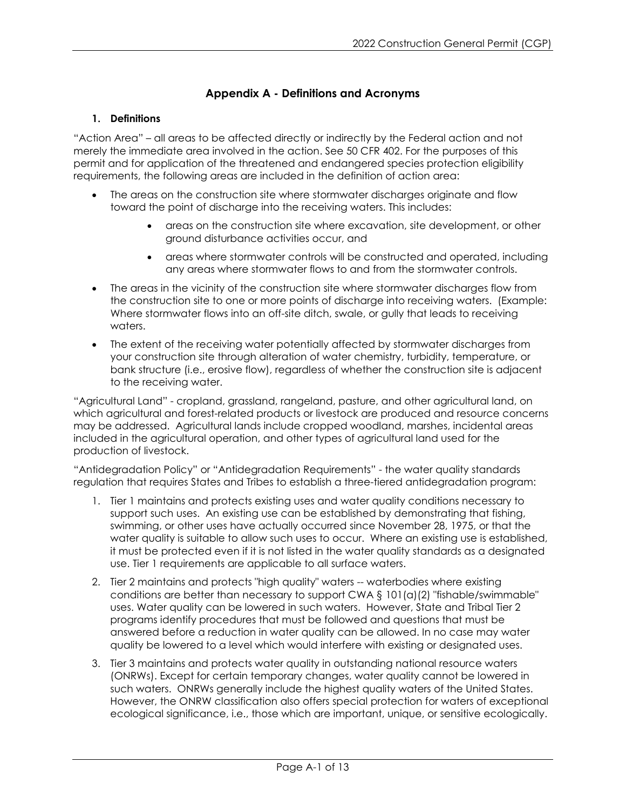## **Appendix A - Definitions and Acronyms**

## **1. Definitions**

"Action Area" – all areas to be affected directly or indirectly by the Federal action and not merely the immediate area involved in the action. See 50 CFR 402. For the purposes of this permit and for application of the threatened and endangered species protection eligibility requirements, the following areas are included in the definition of action area:

- The areas on the construction site where stormwater discharges originate and flow toward the point of discharge into the receiving waters. This includes:
	- areas on the construction site where excavation, site development, or other ground disturbance activities occur, and
	- areas where stormwater controls will be constructed and operated, including any areas where stormwater flows to and from the stormwater controls.
- The areas in the vicinity of the construction site where stormwater discharges flow from the construction site to one or more points of discharge into receiving waters. (Example: Where stormwater flows into an off-site ditch, swale, or gully that leads to receiving waters.
- The extent of the receiving water potentially affected by stormwater discharges from your construction site through alteration of water chemistry, turbidity, temperature, or bank structure (i.e., erosive flow), regardless of whether the construction site is adjacent to the receiving water.

"Agricultural Land" - cropland, grassland, rangeland, pasture, and other agricultural land, on which agricultural and forest-related products or livestock are produced and resource concerns may be addressed. Agricultural lands include cropped woodland, marshes, incidental areas included in the agricultural operation, and other types of agricultural land used for the production of livestock.

"Antidegradation Policy" or "Antidegradation Requirements" - the water quality standards regulation that requires States and Tribes to establish a three-tiered antidegradation program:

- 1. Tier 1 maintains and protects existing uses and water quality conditions necessary to support such uses. An existing use can be established by demonstrating that fishing, swimming, or other uses have actually occurred since November 28, 1975, or that the water quality is suitable to allow such uses to occur. Where an existing use is established, it must be protected even if it is not listed in the water quality standards as a designated use. Tier 1 requirements are applicable to all surface waters.
- 2. Tier 2 maintains and protects "high quality" waters -- waterbodies where existing conditions are better than necessary to support CWA  $\S$  101(a)(2) "fishable/swimmable" uses. Water quality can be lowered in such waters. However, State and Tribal Tier 2 programs identify procedures that must be followed and questions that must be answered before a reduction in water quality can be allowed. In no case may water quality be lowered to a level which would interfere with existing or designated uses.
- 3. Tier 3 maintains and protects water quality in outstanding national resource waters (ONRWs). Except for certain temporary changes, water quality cannot be lowered in such waters. ONRWs generally include the highest quality waters of the United States. However, the ONRW classification also offers special protection for waters of exceptional ecological significance, i.e., those which are important, unique, or sensitive ecologically.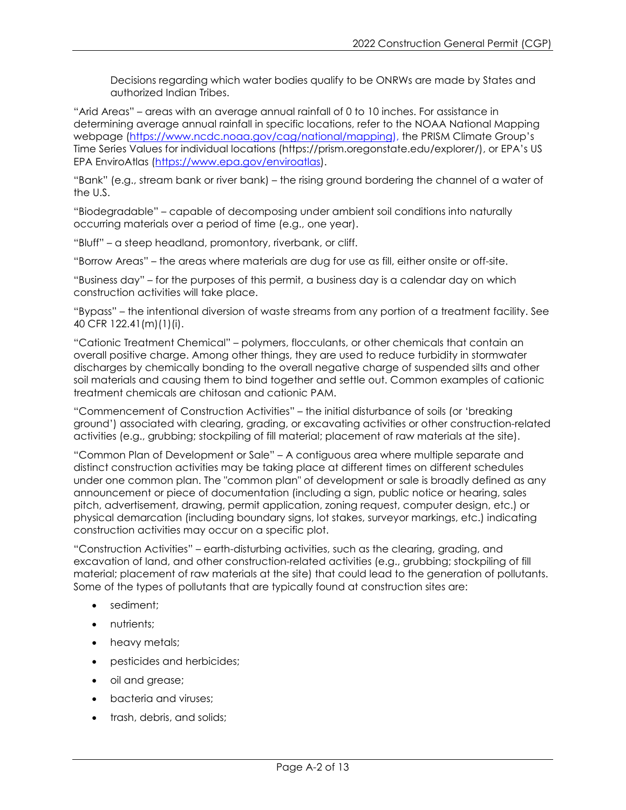Decisions regarding which water bodies qualify to be ONRWs are made by States and authorized Indian Tribes.

"Arid Areas" – areas with an average annual rainfall of 0 to 10 inches. For assistance in determining average annual rainfall in specific locations, refer to the [NOAA National Mapping](https://www.ncdc.noaa.gov/cag/national/mapping)  [webpage \(https://www.ncdc.noaa.gov/cag/national/mapping\)](https://www.ncdc.noaa.gov/cag/national/mapping), the [PRISM Climate Group's](https://prism.oregonstate.edu/explorer/)  [Time Series Values for individual locations \(https://prism.oregonstate.edu/explorer/\)](https://prism.oregonstate.edu/explorer/), or EPA's [US](https://www.epa.gov/enviroatlas)  [EPA EnviroAtlas](https://www.epa.gov/enviroatlas) (https://www.epa.gov/enviroatlas).

"Bank" (e.g., stream bank or river bank) – the rising ground bordering the channel of a water of the U.S.

"Biodegradable" – capable of decomposing under ambient soil conditions into naturally occurring materials over a period of time (e.g., one year).

"Bluff" – a steep headland, promontory, riverbank, or cliff.

"Borrow Areas" – the areas where materials are dug for use as fill, either onsite or off-site.

"Business day" – for the purposes of this permit, a business day is a calendar day on which construction activities will take place.

"Bypass" – the intentional diversion of waste streams from any portion of a treatment facility. See 40 CFR 122.41(m)(1)(i).

"Cationic Treatment Chemical" – polymers, flocculants, or other chemicals that contain an overall positive charge. Among other things, they are used to reduce turbidity in stormwater discharges by chemically bonding to the overall negative charge of suspended silts and other soil materials and causing them to bind together and settle out. Common examples of cationic treatment chemicals are chitosan and cationic PAM.

"Commencement of Construction Activities" – the initial disturbance of soils (or 'breaking ground') associated with clearing, grading, or excavating activities or other construction-related activities (e.g., grubbing; stockpiling of fill material; placement of raw materials at the site).

"Common Plan of Development or Sale" – A contiguous area where multiple separate and distinct construction activities may be taking place at different times on different schedules under one common plan. The "common plan" of development or sale is broadly defined as any announcement or piece of documentation (including a sign, public notice or hearing, sales pitch, advertisement, drawing, permit application, zoning request, computer design, etc.) or physical demarcation (including boundary signs, lot stakes, surveyor markings, etc.) indicating construction activities may occur on a specific plot.

"Construction Activities" – earth-disturbing activities, such as the clearing, grading, and excavation of land, and other construction-related activities (e.g., grubbing; stockpiling of fill material; placement of raw materials at the site) that could lead to the generation of pollutants. Some of the types of pollutants that are typically found at construction sites are:

- sediment;
- nutrients:
- heavy metals;
- pesticides and herbicides;
- oil and grease;
- bacteria and viruses;
- trash, debris, and solids;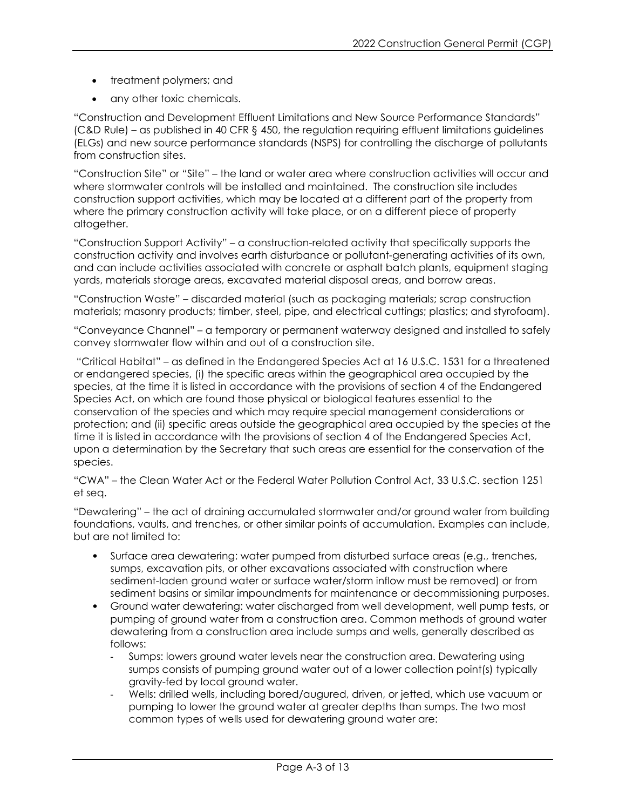- treatment polymers; and
- any other toxic chemicals.

"Construction and Development Effluent Limitations and New Source Performance Standards" (C&D Rule) – as published in 40 CFR § 450, the regulation requiring effluent limitations guidelines (ELGs) and new source performance standards (NSPS) for controlling the discharge of pollutants from construction sites.

"Construction Site" or "Site" – the land or water area where construction activities will occur and where stormwater controls will be installed and maintained. The construction site includes construction support activities, which may be located at a different part of the property from where the primary construction activity will take place, or on a different piece of property altogether.

"Construction Support Activity" – a construction-related activity that specifically supports the construction activity and involves earth disturbance or pollutant-generating activities of its own, and can include activities associated with concrete or asphalt batch plants, equipment staging yards, materials storage areas, excavated material disposal areas, and borrow areas.

"Construction Waste" – discarded material (such as packaging materials; scrap construction materials; masonry products; timber, steel, pipe, and electrical cuttings; plastics; and styrofoam).

"Conveyance Channel" – a temporary or permanent waterway designed and installed to safely convey stormwater flow within and out of a construction site.

"Critical Habitat" – as defined in the Endangered Species Act at 16 U.S.C. 1531 for a threatened or endangered species, (i) the specific areas within the geographical area occupied by the species, at the time it is listed in accordance with the provisions of section 4 of the Endangered Species Act, on which are found those physical or biological features essential to the conservation of the species and which may require special management considerations or protection; and (ii) specific areas outside the geographical area occupied by the species at the time it is listed in accordance with the provisions of section 4 of the Endangered Species Act, upon a determination by the Secretary that such areas are essential for the conservation of the species.

"CWA" – the Clean Water Act or the Federal Water Pollution Control Act, 33 U.S.C. section 1251 et seq.

"Dewatering" – the act of draining accumulated stormwater and/or ground water from building foundations, vaults, and trenches, or other similar points of accumulation. Examples can include, but are not limited to:

- Surface area dewatering: water pumped from disturbed surface areas (e.g., trenches, sumps, excavation pits, or other excavations associated with construction where sediment-laden ground water or surface water/storm inflow must be removed) or from sediment basins or similar impoundments for maintenance or decommissioning purposes.
- Ground water dewatering: water discharged from well development, well pump tests, or pumping of ground water from a construction area. Common methods of ground water dewatering from a construction area include sumps and wells, generally described as follows:
	- Sumps: lowers ground water levels near the construction area. Dewatering using sumps consists of pumping ground water out of a lower collection point(s) typically gravity-fed by local ground water.
	- Wells: drilled wells, including bored/augured, driven, or jetted, which use vacuum or pumping to lower the ground water at greater depths than sumps. The two most common types of wells used for dewatering ground water are: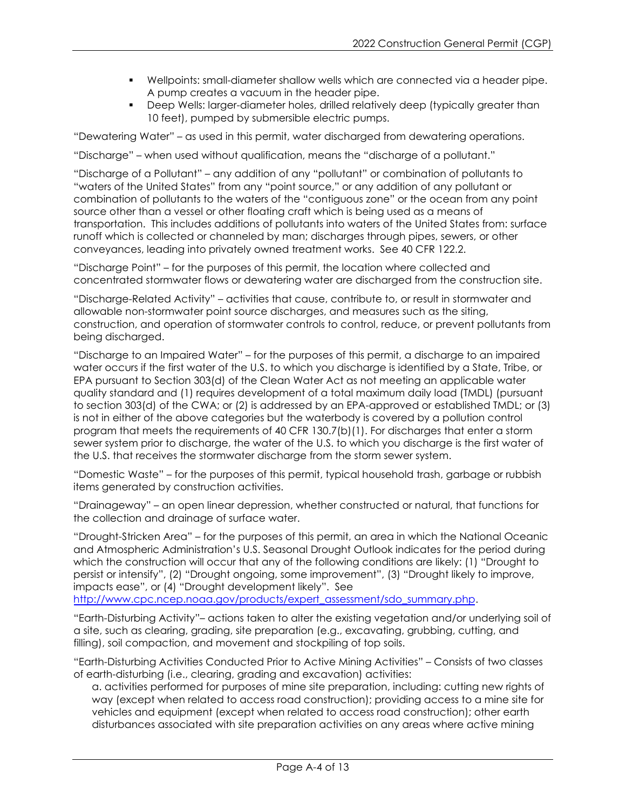- Wellpoints: small-diameter shallow wells which are connected via a header pipe. A pump creates a vacuum in the header pipe.
- Deep Wells: larger-diameter holes, drilled relatively deep (typically greater than 10 feet), pumped by submersible electric pumps.

"Dewatering Water" – as used in this permit, water discharged from dewatering operations.

"Discharge" – when used without qualification, means the "discharge of a pollutant."

"Discharge of a Pollutant" – any addition of any "pollutant" or combination of pollutants to "waters of the United States" from any "point source," or any addition of any pollutant or combination of pollutants to the waters of the "contiguous zone" or the ocean from any point source other than a vessel or other floating craft which is being used as a means of transportation. This includes additions of pollutants into waters of the United States from: surface runoff which is collected or channeled by man; discharges through pipes, sewers, or other conveyances, leading into privately owned treatment works. See 40 CFR 122.2.

"Discharge Point" – for the purposes of this permit, the location where collected and concentrated stormwater flows or dewatering water are discharged from the construction site.

"Discharge-Related Activity" – activities that cause, contribute to, or result in stormwater and allowable non-stormwater point source discharges, and measures such as the siting, construction, and operation of stormwater controls to control, reduce, or prevent pollutants from being discharged.

"Discharge to an Impaired Water" – for the purposes of this permit, a discharge to an impaired water occurs if the first water of the U.S. to which you discharge is identified by a State, Tribe, or EPA pursuant to Section 303(d) of the Clean Water Act as not meeting an applicable water quality standard and (1) requires development of a total maximum daily load (TMDL) (pursuant to section 303(d) of the CWA; or (2) is addressed by an EPA-approved or established TMDL; or (3) is not in either of the above categories but the waterbody is covered by a pollution control program that meets the requirements of 40 CFR 130.7(b)(1). For discharges that enter a storm sewer system prior to discharge, the water of the U.S. to which you discharge is the first water of the U.S. that receives the stormwater discharge from the storm sewer system.

"Domestic Waste" – for the purposes of this permit, typical household trash, garbage or rubbish items generated by construction activities.

"Drainageway" – an open linear depression, whether constructed or natural, that functions for the collection and drainage of surface water.

"Drought-Stricken Area" – for the purposes of this permit, an area in which the National Oceanic and Atmospheric Administration's U.S. Seasonal Drought Outlook indicates for the period during which the construction will occur that any of the following conditions are likely: (1) "Drought to persist or intensify", (2) "Drought ongoing, some improvement", (3) "Drought likely to improve, impacts ease", or (4) "Drought development likely". See

[http://www.cpc.ncep.noaa.gov/products/expert\\_assessment/sdo\\_summary.php.](http://www.cpc.ncep.noaa.gov/products/expert_assessment/sdo_summary.php)

"Earth-Disturbing Activity"– actions taken to alter the existing vegetation and/or underlying soil of a site, such as clearing, grading, site preparation (e.g., excavating, grubbing, cutting, and filling), soil compaction, and movement and stockpiling of top soils.

"Earth-Disturbing Activities Conducted Prior to Active Mining Activities" *–* Consists of two classes of earth-disturbing (i.e., clearing, grading and excavation) activities:

a. activities performed for purposes of mine site preparation, including: cutting new rights of way (except when related to access road construction); providing access to a mine site for vehicles and equipment (except when related to access road construction); other earth disturbances associated with site preparation activities on any areas where active mining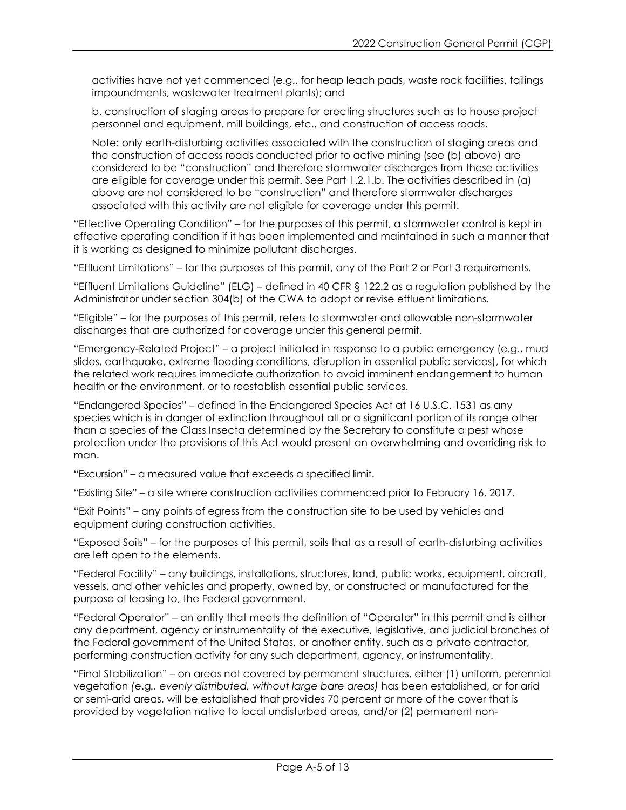activities have not yet commenced (e.g., for heap leach pads, waste rock facilities, tailings impoundments, wastewater treatment plants); and

b. construction of staging areas to prepare for erecting structures such as to house project personnel and equipment, mill buildings, etc., and construction of access roads.

Note: only earth-disturbing activities associated with the construction of staging areas and the construction of access roads conducted prior to active mining (see (b) above) are considered to be "construction" and therefore stormwater discharges from these activities are eligible for coverage under this permit. See Part 1.2.1.b. The activities described in (a) above are not considered to be "construction" and therefore stormwater discharges associated with this activity are not eligible for coverage under this permit.

"Effective Operating Condition" – for the purposes of this permit, a stormwater control is kept in effective operating condition if it has been implemented and maintained in such a manner that it is working as designed to minimize pollutant discharges.

"Effluent Limitations" – for the purposes of this permit, any of the Part 2 or Part 3 requirements.

"Effluent Limitations Guideline" (ELG) – defined in 40 CFR § 122.2 as a regulation published by the Administrator under section 304(b) of the CWA to adopt or revise effluent limitations.

"Eligible" – for the purposes of this permit, refers to stormwater and allowable non-stormwater discharges that are authorized for coverage under this general permit.

"Emergency-Related Project" – a project initiated in response to a public emergency (e.g., mud slides, earthquake, extreme flooding conditions, disruption in essential public services), for which the related work requires immediate authorization to avoid imminent endangerment to human health or the environment, or to reestablish essential public services.

"Endangered Species" – defined in the Endangered Species Act at 16 U.S.C. 1531 as any species which is in danger of extinction throughout all or a significant portion of its range other than a species of the Class Insecta determined by the Secretary to constitute a pest whose protection under the provisions of this Act would present an overwhelming and overriding risk to man.

"Excursion" – a measured value that exceeds a specified limit.

"Existing Site" – a site where construction activities commenced prior to February 16, 2017.

"Exit Points" – any points of egress from the construction site to be used by vehicles and equipment during construction activities.

"Exposed Soils" – for the purposes of this permit, soils that as a result of earth-disturbing activities are left open to the elements.

"Federal Facility" – any buildings, installations, structures, land, public works, equipment, aircraft, vessels, and other vehicles and property, owned by, or constructed or manufactured for the purpose of leasing to, the Federal government.

"Federal Operator" – an entity that meets the definition of "Operator" in this permit and is either any department, agency or instrumentality of the executive, legislative, and judicial branches of the Federal government of the United States, or another entity, such as a private contractor, performing construction activity for any such department, agency, or instrumentality.

"Final Stabilization" – on areas not covered by permanent structures, either (1) uniform, perennial vegetation *(*e.g*., evenly distributed, without large bare areas)* has been established, or for arid or semi-arid areas, will be established that provides 70 percent or more of the cover that is provided by vegetation native to local undisturbed areas, and/or (2) permanent non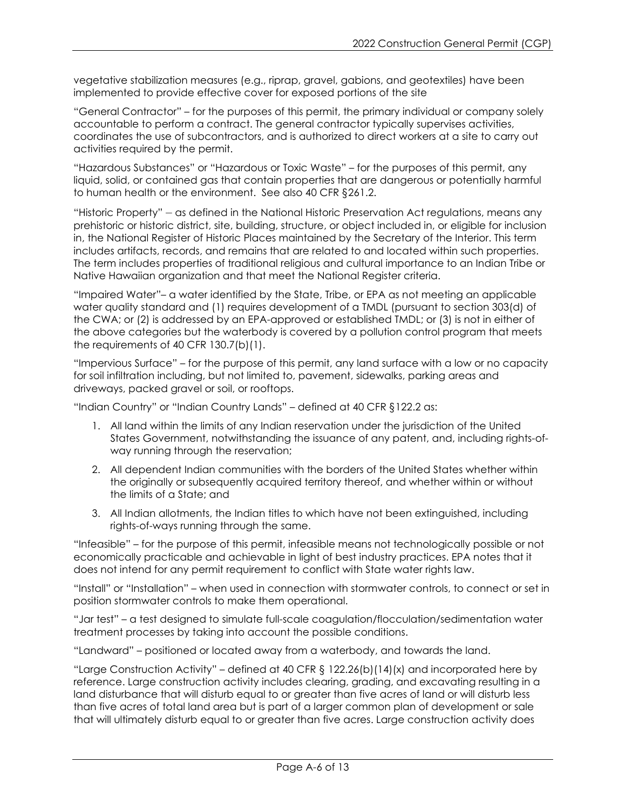vegetative stabilization measures (e.g., riprap, gravel, gabions, and geotextiles) have been implemented to provide effective cover for exposed portions of the site

"General Contractor" – for the purposes of this permit, the primary individual or company solely accountable to perform a contract. The general contractor typically supervises activities, coordinates the use of subcontractors, and is authorized to direct workers at a site to carry out activities required by the permit.

"Hazardous Substances" or "Hazardous or Toxic Waste" – for the purposes of this permit, any liquid, solid, or contained gas that contain properties that are dangerous or potentially harmful to human health or the environment. See also 40 CFR §261.2.

"Historic Property" – as defined in the National Historic Preservation Act regulations, means any prehistoric or historic district, site, building, structure, or object included in, or eligible for inclusion in, the National Register of Historic Places maintained by the Secretary of the Interior. This term includes artifacts, records, and remains that are related to and located within such properties. The term includes properties of traditional religious and cultural importance to an Indian Tribe or Native Hawaiian organization and that meet the National Register criteria.

"Impaired Water"– a water identified by the State, Tribe, or EPA as not meeting an applicable water quality standard and (1) requires development of a TMDL (pursuant to section 303(d) of the CWA; or (2) is addressed by an EPA-approved or established TMDL; or (3) is not in either of the above categories but the waterbody is covered by a pollution control program that meets the requirements of 40 CFR 130.7(b)(1).

"Impervious Surface" – for the purpose of this permit, any land surface with a low or no capacity for soil infiltration including, but not limited to, pavement, sidewalks, parking areas and driveways, packed gravel or soil, or rooftops.

"Indian Country" or "Indian Country Lands" – defined at 40 CFR §122.2 as:

- 1. All land within the limits of any Indian reservation under the jurisdiction of the United States Government, notwithstanding the issuance of any patent, and, including rights-ofway running through the reservation;
- 2. All dependent Indian communities with the borders of the United States whether within the originally or subsequently acquired territory thereof, and whether within or without the limits of a State; and
- 3. All Indian allotments, the Indian titles to which have not been extinguished, including rights-of-ways running through the same.

"Infeasible" – for the purpose of this permit, infeasible means not technologically possible or not economically practicable and achievable in light of best industry practices. EPA notes that it does not intend for any permit requirement to conflict with State water rights law.

"Install" or "Installation" – when used in connection with stormwater controls, to connect or set in position stormwater controls to make them operational.

"Jar test" – a test designed to simulate full-scale coagulation/flocculation/sedimentation water treatment processes by taking into account the possible conditions.

"Landward" – positioned or located away from a waterbody, and towards the land.

"Large Construction Activity" – defined at 40 CFR § 122.26(b)(14)(x) and incorporated here by reference. Large construction activity includes clearing, grading, and excavating resulting in a land disturbance that will disturb equal to or greater than five acres of land or will disturb less than five acres of total land area but is part of a larger common plan of development or sale that will ultimately disturb equal to or greater than five acres. Large construction activity does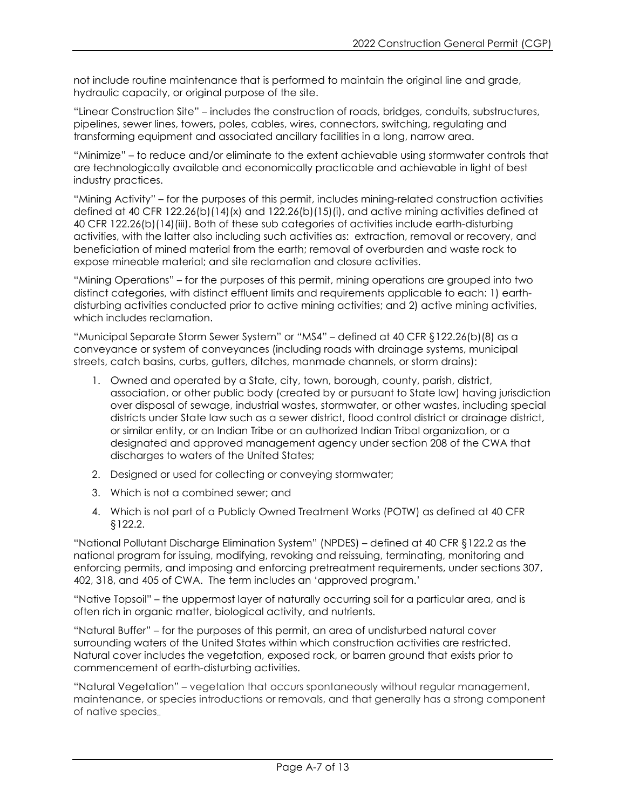not include routine maintenance that is performed to maintain the original line and grade, hydraulic capacity, or original purpose of the site.

"Linear Construction Site" – includes the construction of roads, bridges, conduits, substructures, pipelines, sewer lines, towers, poles, cables, wires, connectors, switching, regulating and transforming equipment and associated ancillary facilities in a long, narrow area.

"Minimize" – to reduce and/or eliminate to the extent achievable using stormwater controls that are technologically available and economically practicable and achievable in light of best industry practices.

"Mining Activity" – for the purposes of this permit, includes mining-related construction activities defined at 40 CFR 122.26(b)(14)(x) and 122.26(b)(15)(i), and active mining activities defined at 40 CFR 122.26(b)(14)(iii). Both of these sub categories of activities include earth-disturbing activities, with the latter also including such activities as: extraction, removal or recovery, and beneficiation of mined material from the earth; removal of overburden and waste rock to expose mineable material; and site reclamation and closure activities.

"Mining Operations" – for the purposes of this permit, mining operations are grouped into two distinct categories, with distinct effluent limits and requirements applicable to each: 1) earthdisturbing activities conducted prior to active mining activities; and 2) active mining activities, which includes reclamation.

"Municipal Separate Storm Sewer System" or "MS4" – defined at 40 CFR §122.26(b)(8) as a conveyance or system of conveyances (including roads with drainage systems, municipal streets, catch basins, curbs, gutters, ditches, manmade channels, or storm drains):

- 1. Owned and operated by a State, city, town, borough, county, parish, district, association, or other public body (created by or pursuant to State law) having jurisdiction over disposal of sewage, industrial wastes, stormwater, or other wastes, including special districts under State law such as a sewer district, flood control district or drainage district, or similar entity, or an Indian Tribe or an authorized Indian Tribal organization, or a designated and approved management agency under section 208 of the CWA that discharges to waters of the United States;
- 2. Designed or used for collecting or conveying stormwater;
- 3. Which is not a combined sewer; and
- 4. Which is not part of a Publicly Owned Treatment Works (POTW) as defined at 40 CFR §122.2.

"National Pollutant Discharge Elimination System" (NPDES) – defined at 40 CFR §122.2 as the national program for issuing, modifying, revoking and reissuing, terminating, monitoring and enforcing permits, and imposing and enforcing pretreatment requirements, under sections 307, 402, 318, and 405 of CWA. The term includes an 'approved program.'

"Native Topsoil" – the uppermost layer of naturally occurring soil for a particular area, and is often rich in organic matter, biological activity, and nutrients.

"Natural Buffer" – for the purposes of this permit, an area of undisturbed natural cover surrounding waters of the United States within which construction activities are restricted. Natural cover includes the vegetation, exposed rock, or barren ground that exists prior to commencement of earth-disturbing activities.

"Natural Vegetation" – vegetation that occurs spontaneously without regular management, maintenance, or species introductions or removals, and that generally has a strong component of native species..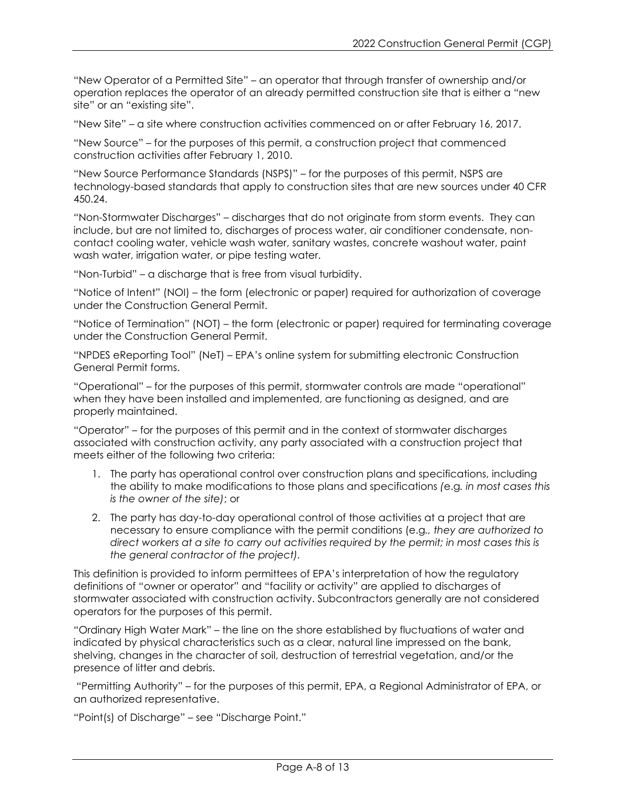"New Operator of a Permitted Site" – an operator that through transfer of ownership and/or operation replaces the operator of an already permitted construction site that is either a "new site" or an "existing site".

"New Site" – a site where construction activities commenced on or after February 16, 2017.

"New Source" – for the purposes of this permit, a construction project that commenced construction activities after February 1, 2010.

"New Source Performance Standards (NSPS)" – for the purposes of this permit, NSPS are technology-based standards that apply to construction sites that are new sources under 40 CFR 450.24.

"Non-Stormwater Discharges" – discharges that do not originate from storm events. They can include, but are not limited to, discharges of process water, air conditioner condensate, noncontact cooling water, vehicle wash water, sanitary wastes, concrete washout water, paint wash water, irrigation water, or pipe testing water.

"Non-Turbid" – a discharge that is free from visual turbidity.

"Notice of Intent" (NOI) – the form (electronic or paper) required for authorization of coverage under the Construction General Permit.

"Notice of Termination" (NOT) – the form (electronic or paper) required for terminating coverage under the Construction General Permit.

"NPDES eReporting Tool" (NeT) – EPA's online system for submitting electronic Construction General Permit forms.

"Operational" – for the purposes of this permit, stormwater controls are made "operational" when they have been installed and implemented, are functioning as designed, and are properly maintained.

"Operator" – for the purposes of this permit and in the context of stormwater discharges associated with construction activity, any party associated with a construction project that meets either of the following two criteria:

- 1. The party has operational control over construction plans and specifications, including the ability to make modifications to those plans and specifications *(*e.g*. in most cases this is the owner of the site)*; or
- 2. The party has day-to-day operational control of those activities at a project that are necessary to ensure compliance with the permit conditions (e.g*., they are authorized to direct workers at a site to carry out activities required by the permit; in most cases this is the general contractor of the project).*

This definition is provided to inform permittees of EPA's interpretation of how the regulatory definitions of "owner or operator" and "facility or activity" are applied to discharges of stormwater associated with construction activity. Subcontractors generally are not considered operators for the purposes of this permit.

"Ordinary High Water Mark" – the line on the shore established by fluctuations of water and indicated by physical characteristics such as a clear, natural line impressed on the bank, shelving, changes in the character of soil, destruction of terrestrial vegetation, and/or the presence of litter and debris.

"Permitting Authority" – for the purposes of this permit, EPA, a Regional Administrator of EPA, or an authorized representative.

"Point(s) of Discharge" – see "Discharge Point."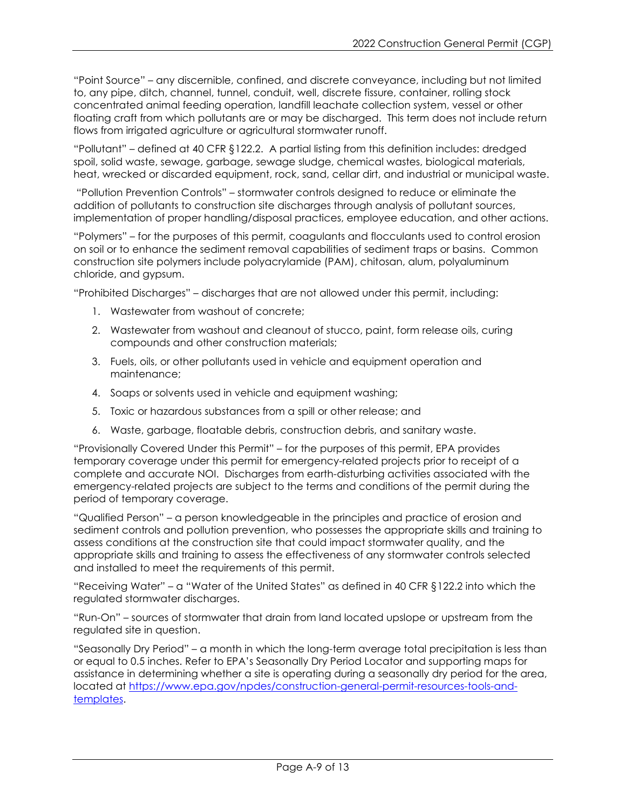"Point Source" – any discernible, confined, and discrete conveyance, including but not limited to, any pipe, ditch, channel, tunnel, conduit, well, discrete fissure, container, rolling stock concentrated animal feeding operation, landfill leachate collection system, vessel or other floating craft from which pollutants are or may be discharged. This term does not include return flows from irrigated agriculture or agricultural stormwater runoff.

"Pollutant" – defined at 40 CFR §122.2. A partial listing from this definition includes: dredged spoil, solid waste, sewage, garbage, sewage sludge, chemical wastes, biological materials, heat, wrecked or discarded equipment, rock, sand, cellar dirt, and industrial or municipal waste.

"Pollution Prevention Controls" – stormwater controls designed to reduce or eliminate the addition of pollutants to construction site discharges through analysis of pollutant sources, implementation of proper handling/disposal practices, employee education, and other actions.

"Polymers" – for the purposes of this permit, coagulants and flocculants used to control erosion on soil or to enhance the sediment removal capabilities of sediment traps or basins. Common construction site polymers include polyacrylamide (PAM), chitosan, alum, polyaluminum chloride, and gypsum.

"Prohibited Discharges" – discharges that are not allowed under this permit, including:

- 1. Wastewater from washout of concrete;
- 2. Wastewater from washout and cleanout of stucco, paint, form release oils, curing compounds and other construction materials;
- 3. Fuels, oils, or other pollutants used in vehicle and equipment operation and maintenance;
- 4. Soaps or solvents used in vehicle and equipment washing;
- 5. Toxic or hazardous substances from a spill or other release; and
- 6. Waste, garbage, floatable debris, construction debris, and sanitary waste.

"Provisionally Covered Under this Permit" – for the purposes of this permit, EPA provides temporary coverage under this permit for emergency-related projects prior to receipt of a complete and accurate NOI. Discharges from earth-disturbing activities associated with the emergency-related projects are subject to the terms and conditions of the permit during the period of temporary coverage.

"Qualified Person" – a person knowledgeable in the principles and practice of erosion and sediment controls and pollution prevention, who possesses the appropriate skills and training to assess conditions at the construction site that could impact stormwater quality, and the appropriate skills and training to assess the effectiveness of any stormwater controls selected and installed to meet the requirements of this permit.

"Receiving Water" – a "Water of the United States" as defined in 40 CFR §122.2 into which the regulated stormwater discharges.

"Run-On" – sources of stormwater that drain from land located upslope or upstream from the regulated site in question.

"Seasonally Dry Period" – a month in which the long-term average total precipitation is less than or equal to 0.5 inches. Refer to EPA's Seasonally Dry Period Locator and supporting maps for assistance in determining whether a site is operating during a seasonally dry period for the area, located at [https://www.epa.gov/npdes/construction-general-permit-resources-tools-and](https://www.epa.gov/npdes/construction-general-permit-resources-tools-and-templates)[templates.](https://www.epa.gov/npdes/construction-general-permit-resources-tools-and-templates)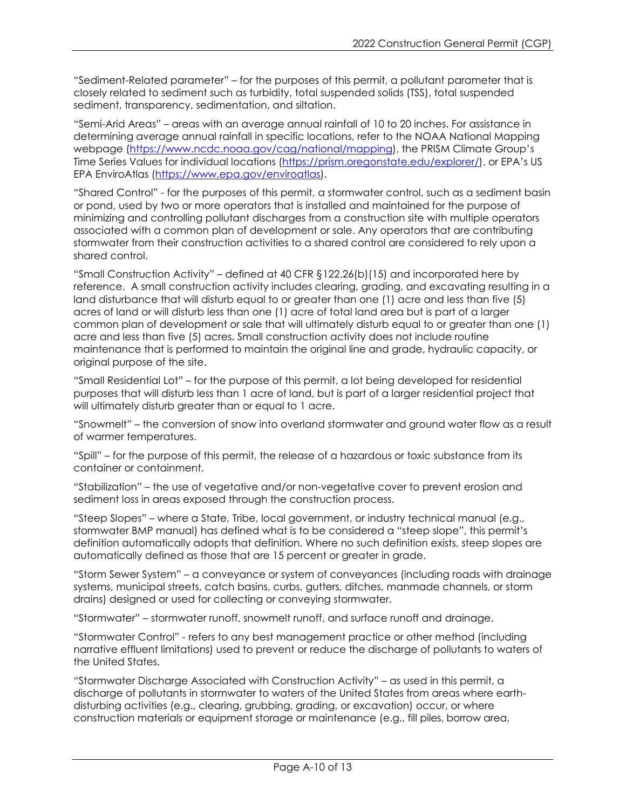"Sediment-Related parameter" – for the purposes of this permit, a pollutant parameter that is closely related to sediment such as turbidity, total suspended solids (TSS), total suspended sediment, transparency, sedimentation, and siltation.

"Semi-Arid Areas" – areas with an average annual rainfall of 10 to 20 inches. For assistance in determining average annual rainfall in specific locations, refer to the [NOAA National Mapping](https://www.ncdc.noaa.gov/cag/national/mapping)  [webpage](https://www.ncdc.noaa.gov/cag/national/mapping) [\(https://www.ncdc.noaa.gov/cag/national/mapping\)](https://www.ncdc.noaa.gov/cag/national/mapping), the [PRISM Climate Group's](https://prism.oregonstate.edu/explorer/)  [Time Series Values for individual locations](https://prism.oregonstate.edu/explorer/) [\(https://prism.oregonstate.edu/explorer/\)](https://prism.oregonstate.edu/explorer/), or EPA's US [EPA EnviroAtlas](https://www.epa.gov/enviroatlas) (https://www.epa.gov/enviroatlas).

"Shared Control" - for the purposes of this permit, a stormwater control, such as a sediment basin or pond, used by two or more operators that is installed and maintained for the purpose of minimizing and controlling pollutant discharges from a construction site with multiple operators associated with a common plan of development or sale. Any operators that are contributing stormwater from their construction activities to a shared control are considered to rely upon a shared control.

"Small Construction Activity" – defined at 40 CFR §122.26(b)(15) and incorporated here by reference. A small construction activity includes clearing, grading, and excavating resulting in a land disturbance that will disturb equal to or greater than one (1) acre and less than five (5) acres of land or will disturb less than one (1) acre of total land area but is part of a larger common plan of development or sale that will ultimately disturb equal to or greater than one (1) acre and less than five (5) acres. Small construction activity does not include routine maintenance that is performed to maintain the original line and grade, hydraulic capacity, or original purpose of the site.

"Small Residential Lot" – for the purpose of this permit, a lot being developed for residential purposes that will disturb less than 1 acre of land, but is part of a larger residential project that will ultimately disturb greater than or equal to 1 acre.

"Snowmelt" – the conversion of snow into overland stormwater and ground water flow as a result of warmer temperatures.

"Spill" – for the purpose of this permit, the release of a hazardous or toxic substance from its container or containment.

"Stabilization" – the use of vegetative and/or non-vegetative cover to prevent erosion and sediment loss in areas exposed through the construction process.

"Steep Slopes" – where a State, Tribe, local government, or industry technical manual (e.g., stormwater BMP manual) has defined what is to be considered a "steep slope", this permit's definition automatically adopts that definition. Where no such definition exists, steep slopes are automatically defined as those that are 15 percent or greater in grade.

"Storm Sewer System" – a conveyance or system of conveyances (including roads with drainage systems, municipal streets, catch basins, curbs, gutters, ditches, manmade channels, or storm drains) designed or used for collecting or conveying stormwater.

"Stormwater" – stormwater runoff, snowmelt runoff, and surface runoff and drainage.

"Stormwater Control" - refers to any best management practice or other method (including narrative effluent limitations) used to prevent or reduce the discharge of pollutants to waters of the United States.

"Stormwater Discharge Associated with Construction Activity" – as used in this permit, a discharge of pollutants in stormwater to waters of the United States from areas where earthdisturbing activities (e.g., clearing, grubbing, grading, or excavation) occur, or where construction materials or equipment storage or maintenance (e.g., fill piles, borrow area,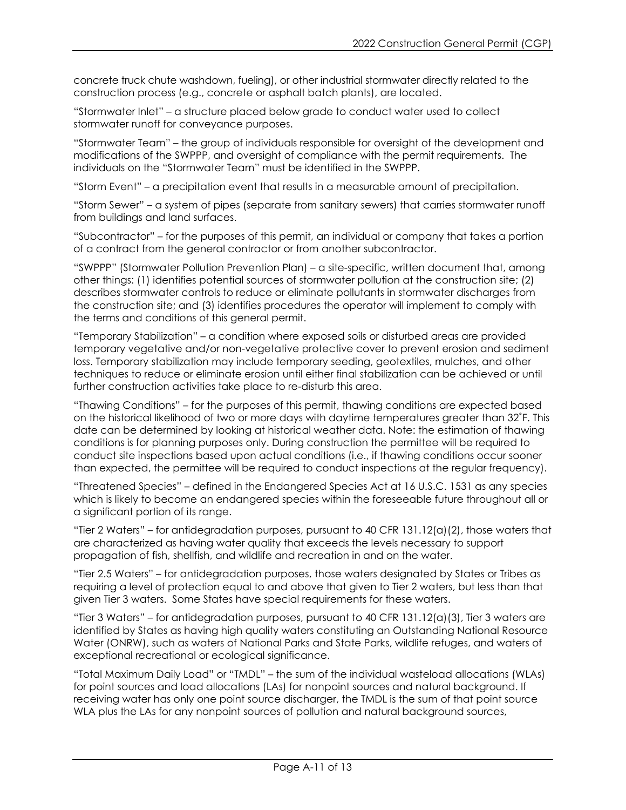concrete truck chute washdown, fueling), or other industrial stormwater directly related to the construction process (e.g., concrete or asphalt batch plants), are located.

"Stormwater Inlet" – a structure placed below grade to conduct water used to collect stormwater runoff for conveyance purposes.

"Stormwater Team" – the group of individuals responsible for oversight of the development and modifications of the SWPPP, and oversight of compliance with the permit requirements. The individuals on the "Stormwater Team" must be identified in the SWPPP.

"Storm Event" – a precipitation event that results in a measurable amount of precipitation.

"Storm Sewer" – a system of pipes (separate from sanitary sewers) that carries stormwater runoff from buildings and land surfaces.

"Subcontractor" – for the purposes of this permit, an individual or company that takes a portion of a contract from the general contractor or from another subcontractor.

"SWPPP" (Stormwater Pollution Prevention Plan) – a site-specific, written document that, among other things: (1) identifies potential sources of stormwater pollution at the construction site; (2) describes stormwater controls to reduce or eliminate pollutants in stormwater discharges from the construction site; and (3) identifies procedures the operator will implement to comply with the terms and conditions of this general permit.

"Temporary Stabilization" – a condition where exposed soils or disturbed areas are provided temporary vegetative and/or non-vegetative protective cover to prevent erosion and sediment loss. Temporary stabilization may include temporary seeding, geotextiles, mulches, and other techniques to reduce or eliminate erosion until either final stabilization can be achieved or until further construction activities take place to re-disturb this area.

"Thawing Conditions" – for the purposes of this permit, thawing conditions are expected based on the historical likelihood of two or more days with daytime temperatures greater than 32˚F. This date can be determined by looking at historical weather data. Note: the estimation of thawing conditions is for planning purposes only. During construction the permittee will be required to conduct site inspections based upon actual conditions (i.e., if thawing conditions occur sooner than expected, the permittee will be required to conduct inspections at the regular frequency).

"Threatened Species" – defined in the Endangered Species Act at 16 U.S.C. 1531 as any species which is likely to become an endangered species within the foreseeable future throughout all or a significant portion of its range.

"Tier 2 Waters" – for antidegradation purposes, pursuant to 40 CFR 131.12(a)(2), those waters that are characterized as having water quality that exceeds the levels necessary to support propagation of fish, shellfish, and wildlife and recreation in and on the water.

"Tier 2.5 Waters" – for antidegradation purposes, those waters designated by States or Tribes as requiring a level of protection equal to and above that given to Tier 2 waters, but less than that given Tier 3 waters. Some States have special requirements for these waters.

"Tier 3 Waters" – for antidegradation purposes, pursuant to 40 CFR 131.12(a)(3), Tier 3 waters are identified by States as having high quality waters constituting an Outstanding National Resource Water (ONRW), such as waters of National Parks and State Parks, wildlife refuges, and waters of exceptional recreational or ecological significance.

"Total Maximum Daily Load" or "TMDL" – the sum of the individual wasteload allocations (WLAs) for point sources and load allocations (LAs) for nonpoint sources and natural background. If receiving water has only one point source discharger, the TMDL is the sum of that point source WLA plus the LAs for any nonpoint sources of pollution and natural background sources,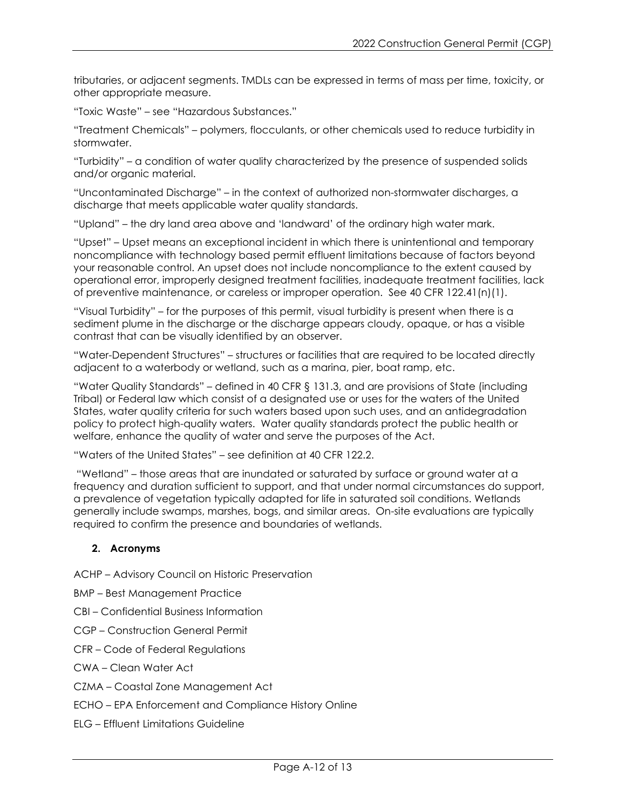tributaries, or adjacent segments. TMDLs can be expressed in terms of mass per time, toxicity, or other appropriate measure.

"Toxic Waste" – see "Hazardous Substances."

"Treatment Chemicals" – polymers, flocculants, or other chemicals used to reduce turbidity in stormwater.

"Turbidity" – a condition of water quality characterized by the presence of suspended solids and/or organic material.

"Uncontaminated Discharge" – in the context of authorized non-stormwater discharges, a discharge that meets applicable water quality standards.

"Upland" – the dry land area above and 'landward' of the ordinary high water mark.

"Upset" – Upset means an exceptional incident in which there is unintentional and temporary noncompliance with technology based permit effluent limitations because of factors beyond your reasonable control. An upset does not include noncompliance to the extent caused by operational error, improperly designed treatment facilities, inadequate treatment facilities, lack of preventive maintenance, or careless or improper operation. See 40 CFR 122.41(n)(1).

"Visual Turbidity" – for the purposes of this permit, visual turbidity is present when there is a sediment plume in the discharge or the discharge appears cloudy, opaque, or has a visible contrast that can be visually identified by an observer.

"Water-Dependent Structures" – structures or facilities that are required to be located directly adjacent to a waterbody or wetland, such as a marina, pier, boat ramp, etc.

"Water Quality Standards" – defined in 40 CFR § 131.3, and are provisions of State (including Tribal) or Federal law which consist of a designated use or uses for the waters of the United States, water quality criteria for such waters based upon such uses, and an antidegradation policy to protect high-quality waters. Water quality standards protect the public health or welfare, enhance the quality of water and serve the purposes of the Act.

"Waters of the United States" – see definition at 40 CFR 122.2.

"Wetland" – those areas that are inundated or saturated by surface or ground water at a frequency and duration sufficient to support, and that under normal circumstances do support, a prevalence of vegetation typically adapted for life in saturated soil conditions. Wetlands generally include swamps, marshes, bogs, and similar areas. On-site evaluations are typically required to confirm the presence and boundaries of wetlands.

## **2. Acronyms**

ACHP – Advisory Council on Historic Preservation

- BMP Best Management Practice
- CBI Confidential Business Information
- CGP Construction General Permit
- CFR Code of Federal Regulations
- CWA Clean Water Act
- CZMA Coastal Zone Management Act
- ECHO EPA Enforcement and Compliance History Online
- ELG Effluent Limitations Guideline